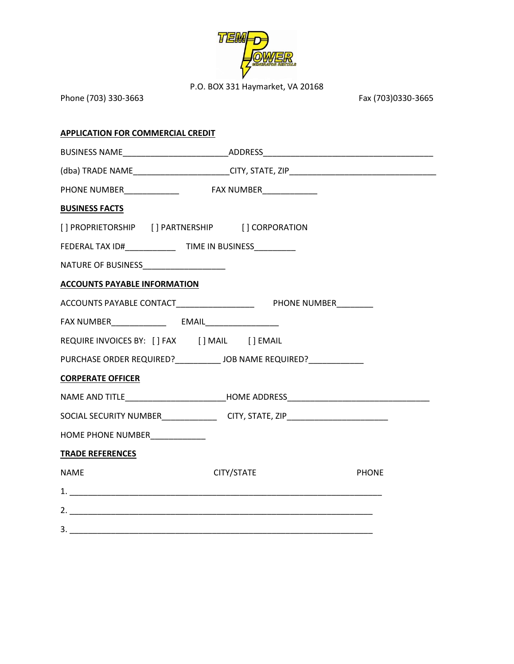

P.O. BOX 331 Haymarket, VA 20168

| Phone (703) 330-3663                     |                                                                                   | Fax (703)0330-3665 |
|------------------------------------------|-----------------------------------------------------------------------------------|--------------------|
| <b>APPLICATION FOR COMMERCIAL CREDIT</b> |                                                                                   |                    |
|                                          | BUSINESS NAME_________________________________ADDRESS___________________________  |                    |
|                                          |                                                                                   |                    |
|                                          | PHONE NUMBER______________    FAX NUMBER______________                            |                    |
| <b>BUSINESS FACTS</b>                    |                                                                                   |                    |
|                                          | [] PROPRIETORSHIP [] PARTNERSHIP [] CORPORATION                                   |                    |
|                                          | FEDERAL TAX ID#___________________TIME IN BUSINESS____________                    |                    |
| NATURE OF BUSINESS_____________________  |                                                                                   |                    |
| <b>ACCOUNTS PAYABLE INFORMATION</b>      |                                                                                   |                    |
|                                          |                                                                                   |                    |
|                                          |                                                                                   |                    |
|                                          |                                                                                   |                    |
|                                          | PURCHASE ORDER REQUIRED?____________ JOB NAME REQUIRED?_____________              |                    |
| <b>CORPERATE OFFICER</b>                 |                                                                                   |                    |
|                                          | NAME AND TITLE_______________________________HOME ADDRESS________________________ |                    |
|                                          | SOCIAL SECURITY NUMBER_________________________CITY, STATE, ZIP__________________ |                    |
| HOME PHONE NUMBER_____________           |                                                                                   |                    |
| <b>TRADE REFERENCES</b>                  |                                                                                   |                    |
| <b>NAME</b>                              | CITY/STATE                                                                        | <b>PHONE</b>       |
|                                          |                                                                                   |                    |
|                                          |                                                                                   |                    |
|                                          |                                                                                   |                    |